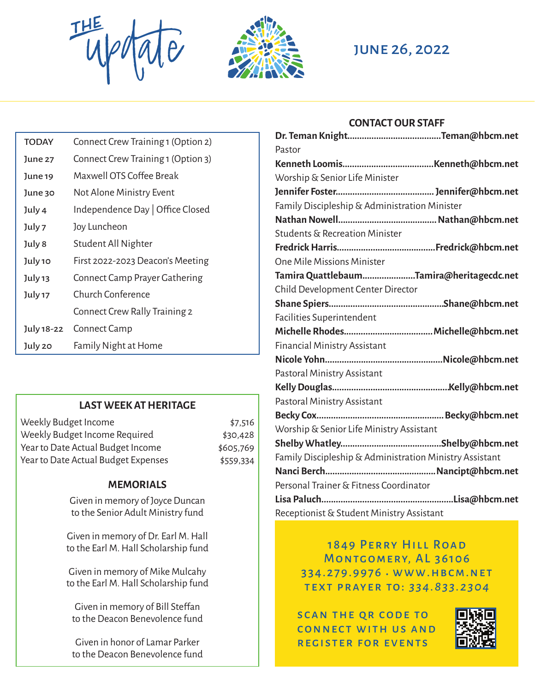THE UPOTATE JUNE 26, 2022



#### **CONTACT OUR STAFF**

| <b>TODAY</b> | Connect Crew Training 1 (Option 2) |
|--------------|------------------------------------|
| June 27      | Connect Crew Training 1 (Option 3) |
| June 19      | Maxwell OTS Coffee Break           |
| June 30      | Not Alone Ministry Event           |
| July 4       | Independence Day   Office Closed   |
| July 7       | Joy Luncheon                       |
| July 8       | Student All Nighter                |
| July 10      | First 2022-2023 Deacon's Meeting   |
| July 13      | Connect Camp Prayer Gathering      |
| July 17      | Church Conference                  |
|              | Connect Crew Rally Training 2      |
| July 18-22   | Connect Camp                       |
| July 20      | Family Night at Home               |

#### **LAST WEEK AT HERITAGE**

| Weekly Budget Income                | \$7,516   |
|-------------------------------------|-----------|
| Weekly Budget Income Required       | \$30,428  |
| Year to Date Actual Budget Income   | \$605,769 |
| Year to Date Actual Budget Expenses | \$559,334 |

#### **MEMORIALS**

Given in memory of Joyce Duncan to the Senior Adult Ministry fund

Given in memory of Dr. Earl M. Hall to the Earl M. Hall Scholarship fund

Given in memory of Mike Mulcahy to the Earl M. Hall Scholarship fund

Given in memory of Bill Steffan to the Deacon Benevolence fund

Given in honor of Lamar Parker to the Deacon Benevolence fund

| Pastor                                                  |  |  |  |
|---------------------------------------------------------|--|--|--|
|                                                         |  |  |  |
| Worship & Senior Life Minister                          |  |  |  |
|                                                         |  |  |  |
| Family Discipleship & Administration Minister           |  |  |  |
|                                                         |  |  |  |
| Students & Recreation Minister                          |  |  |  |
|                                                         |  |  |  |
| <b>One Mile Missions Minister</b>                       |  |  |  |
| Tamira QuattlebaumTamira@heritagecdc.net                |  |  |  |
| Child Development Center Director                       |  |  |  |
|                                                         |  |  |  |
| Facilities Superintendent                               |  |  |  |
|                                                         |  |  |  |
| <b>Financial Ministry Assistant</b>                     |  |  |  |
|                                                         |  |  |  |
| Pastoral Ministry Assistant                             |  |  |  |
|                                                         |  |  |  |
| Pastoral Ministry Assistant                             |  |  |  |
|                                                         |  |  |  |
| Worship & Senior Life Ministry Assistant                |  |  |  |
|                                                         |  |  |  |
| Family Discipleship & Administration Ministry Assistant |  |  |  |
|                                                         |  |  |  |
| Personal Trainer & Fitness Coordinator                  |  |  |  |
|                                                         |  |  |  |
| Receptionist & Student Ministry Assistant               |  |  |  |

1849 Perry Hill Road MONTGOMERY, AL 36106 334.279.9976 www.hbcm.net text prayer to: *334.833.2304* .

SCAN THE QR CODE TO connect with us and register for events